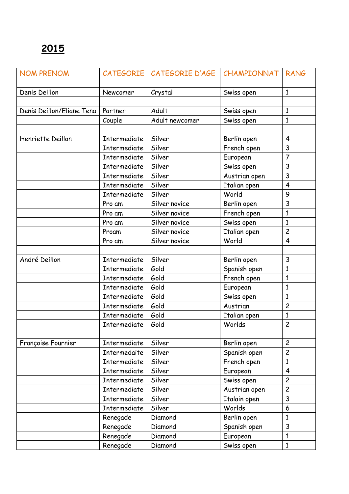| <b>NOM PRENOM</b>         |                     | CATEGORIE   CATEGORIE D'AGE | CHAMPIONNAT   | <b>RANG</b>             |
|---------------------------|---------------------|-----------------------------|---------------|-------------------------|
| Denis Deillon             | Newcomer            | Crystal                     | Swiss open    | $\mathbf{1}$            |
|                           |                     |                             |               |                         |
| Denis Deillon/Eliane Tena | Partner             | Adult                       | Swiss open    | $\mathbf{1}$            |
|                           | Couple              | Adult newcomer              | Swiss open    | $\mathbf{1}$            |
|                           |                     |                             |               |                         |
| Henriette Deillon         | <b>Intermediate</b> | Silver                      | Berlin open   | $\overline{4}$          |
|                           | Intermediate        | Silver                      | French open   | 3                       |
|                           | Intermediate        | Silver                      | European      | $\overline{7}$          |
|                           | <b>Intermediate</b> | Silver                      | Swiss open    | 3                       |
|                           | <b>Intermediate</b> | Silver                      | Austrian open | 3                       |
|                           | Intermediate        | Silver                      | Italian open  | $\overline{\mathbf{4}}$ |
|                           | <b>Intermediate</b> | Silver                      | World         | 9                       |
|                           | Pro am              | Silver novice               | Berlin open   | 3                       |
|                           | Pro am              | Silver novice               | French open   | 1                       |
|                           | Pro am              | Silver novice               | Swiss open    | $\mathbf{1}$            |
|                           | Proam               | Silver novice               | Italian open  | $\overline{c}$          |
|                           | Pro am              | Silver novice               | World         | $\overline{4}$          |
|                           |                     |                             |               |                         |
| André Deillon             | Intermediate        | Silver                      | Berlin open   | 3                       |
|                           | Intermediate        | Gold                        | Spanish open  | $\mathbf{1}$            |
|                           | Intermediate        | Gold                        | French open   | $\mathbf{1}$            |
|                           | <b>Intermediate</b> | Gold                        | European      | $\mathbf{1}$            |
|                           | <b>Intermediate</b> | Gold                        | Swiss open    | $\mathbf{1}$            |
|                           | Intermediate        | Gold                        | Austrian      | $\overline{c}$          |
|                           | Intermediate        | Gold                        | Italian open  | $\mathbf{1}$            |
|                           | Intermediate        | Gold                        | Worlds        | $\overline{c}$          |
|                           |                     |                             |               |                         |
| Françoise Fournier        | Intermediate        | Silver                      | Berlin open   | $\overline{c}$          |
|                           | Intermedaite        | Silver                      | Spanish open  | $\overline{c}$          |
|                           | Intermediate        | Silver                      | French open   | $\mathbf{1}$            |
|                           | Intermediate        | Silver                      | European      | $\overline{4}$          |
|                           | Intermediate        | Silver                      | Swiss open    | $\overline{c}$          |
|                           | Intermediate        | Silver                      | Austrian open | $\overline{c}$          |
|                           | Intermediate        | Silver                      | Italain open  | 3                       |
|                           | Intermediate        | Silver                      | Worlds        | 6                       |
|                           | Renegade            | Diamond                     | Berlin open   | $\mathbf{1}$            |
|                           | Renegade            | Diamond                     | Spanish open  | 3                       |
|                           | Renegade            | Diamond                     | European      | $\mathbf{1}$            |
|                           | Renegade            | Diamond                     | Swiss open    | $\mathbf{1}$            |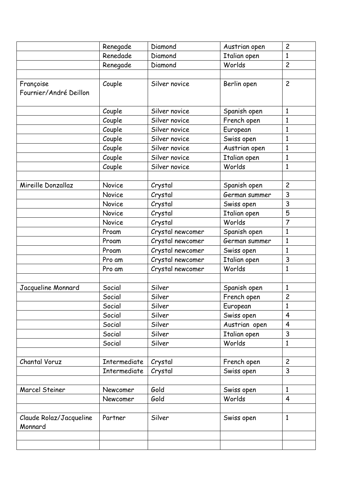|                                    | Renegade            | Diamond          | Austrian open | $\overline{c}$ |
|------------------------------------|---------------------|------------------|---------------|----------------|
|                                    | Renedade            | Diamond          | Italian open  | $\mathbf{1}$   |
|                                    | Renegade            | Diamond          | Worlds        | $\overline{c}$ |
|                                    |                     |                  |               |                |
| Françoise                          | Couple              | Silver novice    | Berlin open   | $\overline{c}$ |
| Fournier/André Deillon             |                     |                  |               |                |
|                                    |                     |                  |               |                |
|                                    | Couple              | Silver novice    | Spanish open  | $\mathbf{1}$   |
|                                    | Couple              | Silver novice    | French open   | 1              |
|                                    | Couple              | Silver novice    | European      | $\mathbf{1}$   |
|                                    | Couple              | Silver novice    | Swiss open    | $\mathbf{1}$   |
|                                    | Couple              | Silver novice    | Austrian open | $\mathbf{1}$   |
|                                    | Couple              | Silver novice    | Italian open  | $\mathbf{1}$   |
|                                    | Couple              | Silver novice    | Worlds        | $\mathbf{1}$   |
|                                    |                     |                  |               |                |
| Mireille Donzallaz                 | Novice              | Crystal          | Spanish open  | $\overline{c}$ |
|                                    | Novice              | Crystal          | German summer | 3              |
|                                    | Novice              | Crystal          | Swiss open    | 3              |
|                                    | Novice              | Crystal          | Italian open  | 5              |
|                                    | Novice              | Crystal          | Worlds        | $\overline{7}$ |
|                                    | Proam               | Crystal newcomer | Spanish open  | $\mathbf{1}$   |
|                                    | Proam               | Crystal newcomer | German summer | $\mathbf{1}$   |
|                                    | Proam               | Crystal newcomer | Swiss open    | $\mathbf{1}$   |
|                                    | Pro am              | Crystal newcomer | Italian open  | 3              |
|                                    | Pro am              | Crystal newcomer | Worlds        | 1              |
|                                    |                     |                  |               |                |
| Jacqueline Monnard                 | Social              | Silver           | Spanish open  | $\mathbf{1}$   |
|                                    | Social              | Silver           | French open   | $\overline{c}$ |
|                                    | Social              | Silver           | European      | 1              |
|                                    | Social              | Silver           | Swiss open    | $\overline{4}$ |
|                                    | Social              | Silver           | Austrian open | $\overline{4}$ |
|                                    | Social              | Silver           | Italian open  | 3              |
|                                    | Social              | Silver           | Worlds        | $\mathbf{1}$   |
|                                    |                     |                  |               |                |
| Chantal Voruz                      | <b>Intermediate</b> | Crystal          | French open   | $\overline{c}$ |
|                                    | Intermediate        | Crystal          | Swiss open    | 3              |
|                                    |                     |                  |               |                |
| <b>Marcel Steiner</b>              | Newcomer            | Gold             | Swiss open    | $\mathbf{1}$   |
|                                    | Newcomer            | Gold             | Worlds        | $\overline{4}$ |
|                                    |                     |                  |               |                |
| Claude Rolaz/Jacqueline<br>Monnard | Partner             | Silver           | Swiss open    | $\mathbf{1}$   |
|                                    |                     |                  |               |                |
|                                    |                     |                  |               |                |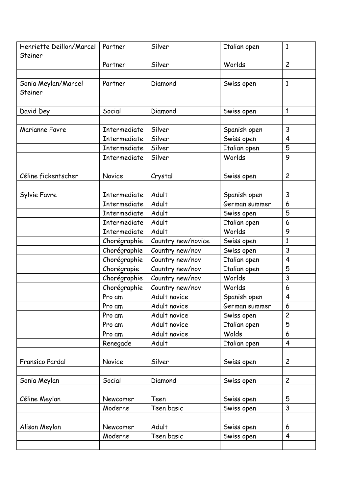| Henriette Deillon/Marcel<br>Steiner | Partner             | Silver             | Italian open  | $\mathbf{1}$            |
|-------------------------------------|---------------------|--------------------|---------------|-------------------------|
|                                     | Partner             | Silver             | Worlds        | $\overline{c}$          |
|                                     |                     |                    |               |                         |
| Sonia Meylan/Marcel<br>Steiner      | Partner             | Diamond            | Swiss open    | $\mathbf{1}$            |
|                                     |                     |                    |               |                         |
| David Dey                           | Social              | Diamond            | Swiss open    | $\mathbf{1}$            |
|                                     |                     |                    |               |                         |
| Marianne Favre                      | Intermediate        | Silver             | Spanish open  | 3                       |
|                                     | Intermediate        | Silver             | Swiss open    | 4                       |
|                                     | Intermediate        | Silver             | Italian open  | 5                       |
|                                     | Intermediate        | Silver             | Worlds        | 9                       |
|                                     |                     |                    |               |                         |
| Céline fickentscher                 | Novice              | Crystal            | Swiss open    | $\overline{c}$          |
|                                     |                     |                    |               |                         |
| Sylvie Favre                        | Intermediate        | Adult              | Spanish open  | 3                       |
|                                     | <b>Intermediate</b> | Adult              | German summer | 6                       |
|                                     | <b>Intermediate</b> | Adult              | Swiss open    | 5                       |
|                                     | Intermediate        | Adult              | Italian open  | 6                       |
|                                     | Intermediate        | Adult              | Worlds        | 9                       |
|                                     | Chorégraphie        | Country new/novice | Swiss open    | $\mathbf{1}$            |
|                                     | Chorégraphie        | Country new/nov    | Swiss open    | 3                       |
|                                     | Chorégraphie        | Country new/nov    | Italian open  | $\overline{\mathbf{4}}$ |
|                                     | Chorégrapie         | Country new/nov    | Italian open  | 5                       |
|                                     | Chorégraphie        | Country new/nov    | Worlds        | 3                       |
|                                     | Chorégraphie        | Country new/nov    | Worlds        | 6                       |
|                                     | Pro am              | Adult novice       | Spanish open  | 4                       |
|                                     | Pro am              | Adult novice       | German summer | 6                       |
|                                     | Pro am              | Adult novice       | Swiss open    | $\overline{c}$          |
|                                     | Pro am              | Adult novice       | Italian open  | 5                       |
|                                     | Pro am              | Adult novice       | Wolds         | 6                       |
|                                     | Renegade            | Adult              | Italian open  | $\overline{4}$          |
|                                     |                     |                    |               |                         |
| Fransico Pardal                     | Novice              | Silver             | Swiss open    | $\overline{c}$          |
|                                     |                     |                    |               |                         |
| Sonia Meylan                        | Social              | Diamond            | Swiss open    | $\overline{c}$          |
|                                     |                     |                    |               |                         |
| Céline Meylan                       | Newcomer            | Teen               | Swiss open    | 5                       |
|                                     | Moderne             | Teen basic         | Swiss open    | 3                       |
|                                     |                     |                    |               |                         |
| Alison Meylan                       | Newcomer            | Adult              | Swiss open    | 6                       |
|                                     | Moderne             | Teen basic         | Swiss open    | $\overline{\mathbf{4}}$ |
|                                     |                     |                    |               |                         |